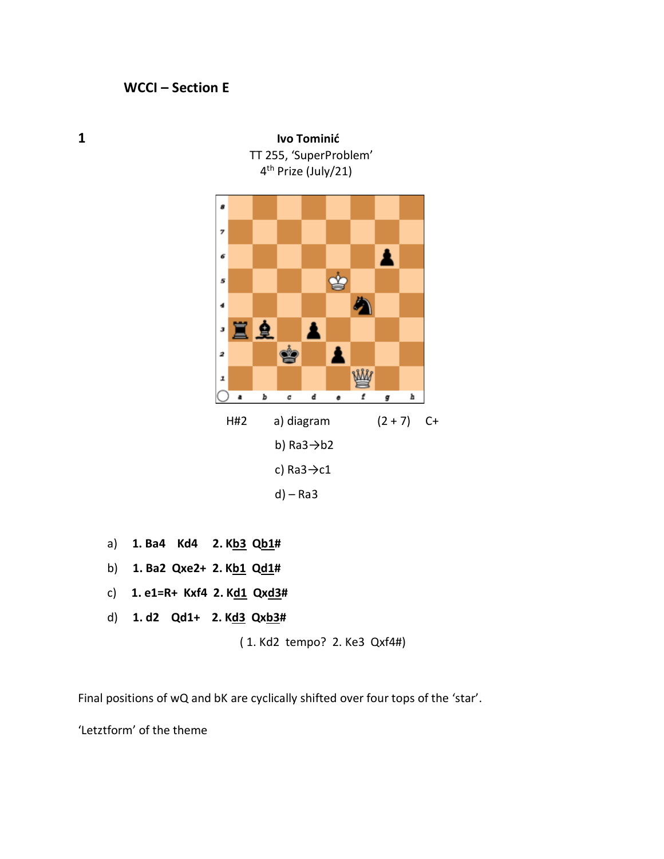TT 255, 'SuperProblem' 4<sup>th</sup> Prize (July/21) 4 g 7 Δ 6 ♔ 5 A 4 Ë 皇 Å з ġ Δ 2 **WW** ı ь  $\pmb{c}$ d f h a e g H#2 a) diagram  $(2 + 7)$  C+ b) Ra3→b2

c)  $Ra3 \rightarrow c1$ 

d) – Ra3

- a) **1. Ba4 Kd4 2. Kb3 Qb1#**
- b) **1. Ba2 Qxe2+ 2. Kb1 Qd1#**
- c) **1. e1=R+ Kxf4 2. Kd1 Qxd3#**
- d) **1. d2 Qd1+ 2. Kd3 Qxb3#**

( 1. Kd2 tempo? 2. Ke3 Qxf4#)

Final positions of wQ and bK are cyclically shifted over four tops of the 'star'.

'Letztform' of the theme



**1 Ivo Tominić**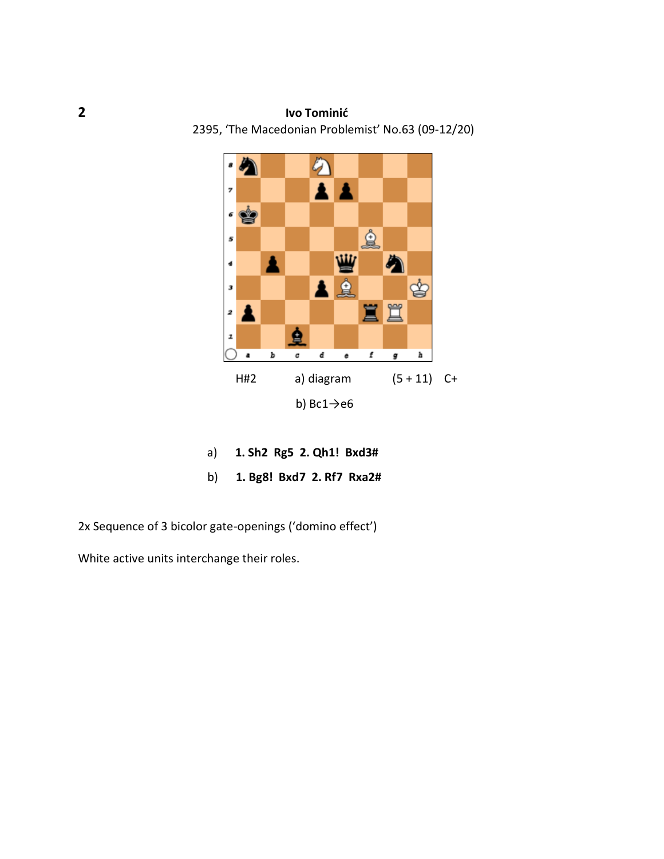## **2 Ivo Tominić**  2395, 'The Macedonian Problemist' No.63 (09-12/20)



- a) **1. Sh2 Rg5 2. Qh1! Bxd3#**
- b) **1. Bg8! Bxd7 2. Rf7 Rxa2#**

2x Sequence of 3 bicolor gate-openings ('domino effect')

White active units interchange their roles.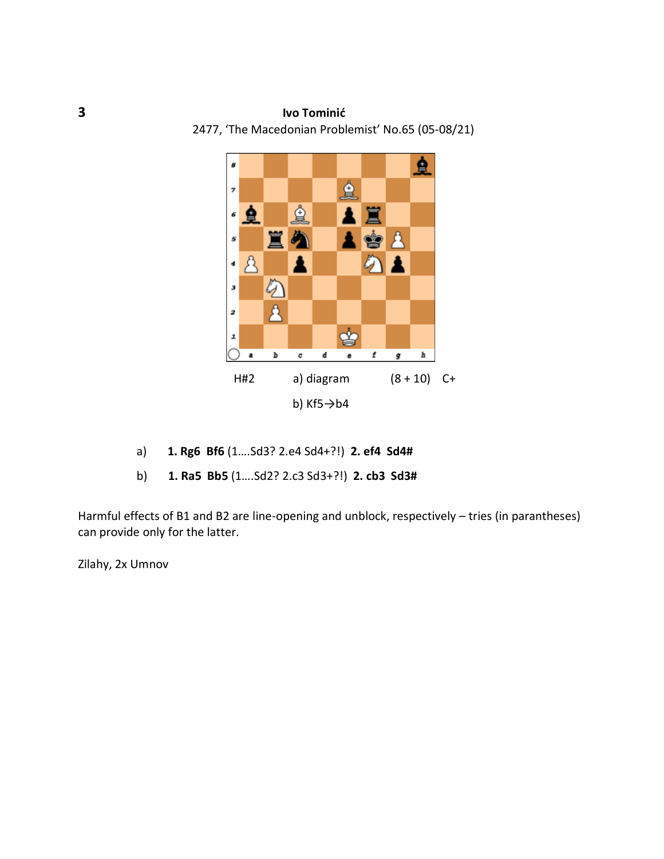## **3 Ivo Tominić**

2477, 'The Macedonian Problemist' No.65 (05-08/21)



- a) **1. Rg6 Bf6** (1….Sd3? 2.e4 Sd4+?!) **2. ef4 Sd4#**
- b) **1. Ra5 Bb5** (1….Sd2? 2.c3 Sd3+?!) **2. cb3 Sd3#**

Harmful effects of B1 and B2 are line-opening and unblock, respectively – tries (in parantheses) can provide only for the latter.

Zilahy, 2x Umnov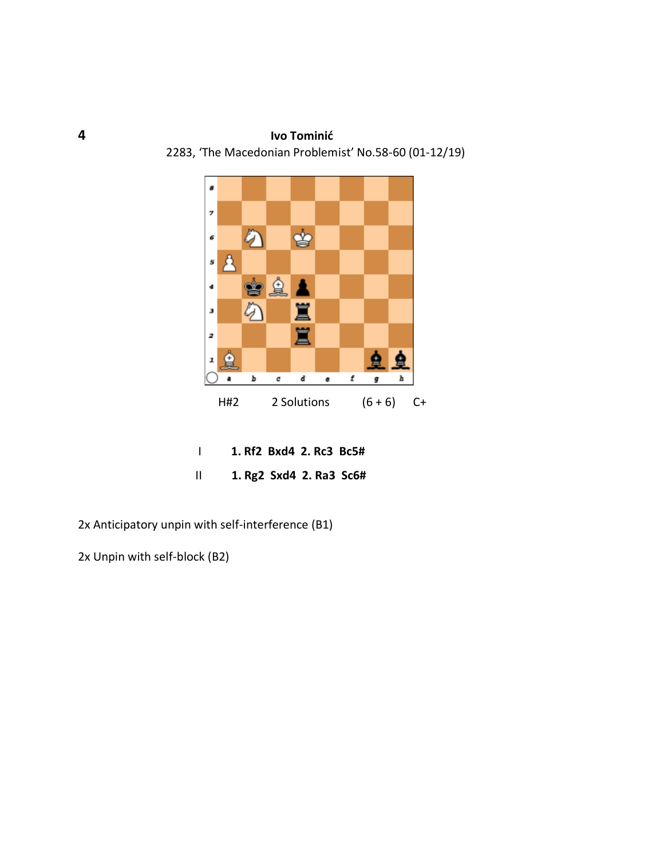## **4 Ivo Tominić**

 $\boldsymbol{s}$  $\pmb{\tau}$  $\ddot{a}$ ♔ 6  $\Delta$  $\pmb{s}$ ₫ ė  $\blacktriangleleft$ 罝 з  $\mathscr{D}$ 罝 2 ₿ ⇪  $\mathbf{z}$ b  $\pmb{c}$ d  $\bullet$ f h a g H#2 2 Solutions  $(6+6)$  C+

2283, 'The Macedonian Problemist' No.58-60 (01-12/19)

| 1. Rf2 Bxd4 2. Rc3 Bc5#   |
|---------------------------|
| $1.$ Rg2 Sxd4 2. Ra3 Sc6# |

2x Anticipatory unpin with self-interference (B1)

2x Unpin with self-block (B2)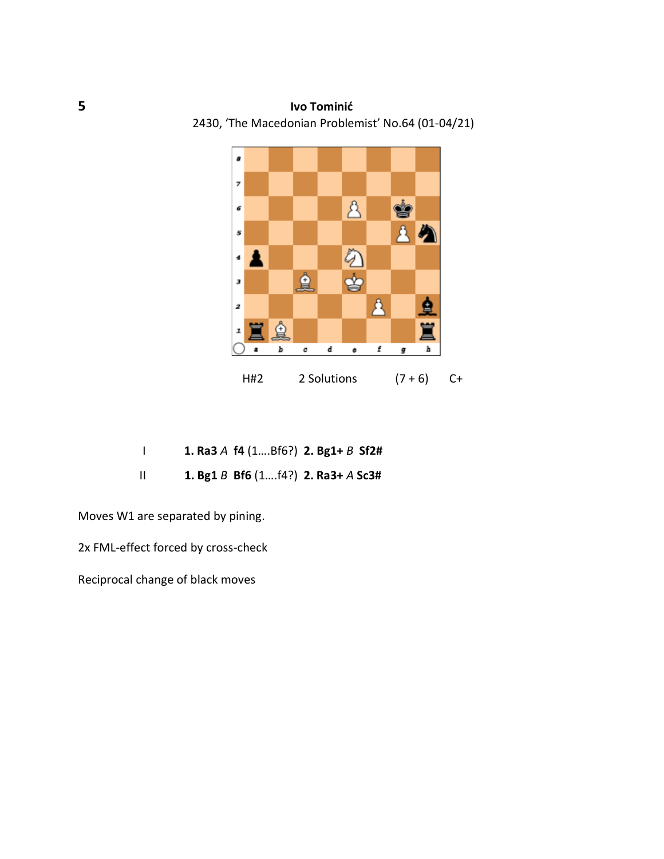## **5 Ivo Tominić**

2430, 'The Macedonian Problemist' No.64 (01-04/21)



|  | 1. Ra3 A $f4$ (1Bf6?) 2. Bg1+ B Sf2# |  |
|--|--------------------------------------|--|
|  | 1. Bg1 B Bf6 $(114)$ 2. Ra3+ A Sc3#  |  |

Moves W1 are separated by pining.

2x FML-effect forced by cross-check

Reciprocal change of black moves